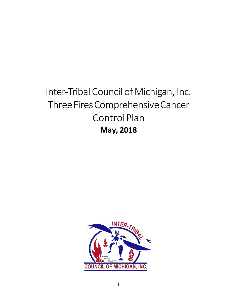# Inter-Tribal Council of Michigan, Inc. Three Fires Comprehensive Cancer Control Plan **May, 2018**

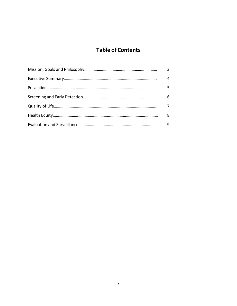# **Table of Contents**

| 3 |
|---|
| 4 |
| 5 |
| 6 |
|   |
| 8 |
| 9 |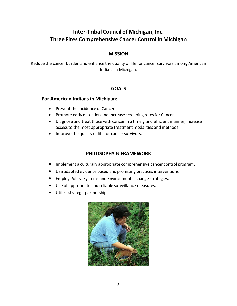# <span id="page-2-0"></span>**Inter-Tribal Council of Michigan, Inc. Three Fires Comprehensive Cancer Control in Michigan**

#### **MISSION**

Reduce the cancer burden and enhance the quality of life for cancer survivors among American Indians in Michigan.

#### **GOALS**

#### **For American Indians in Michigan:**

- Prevent the incidence of Cancer.
- Promote early detection and increase screening rates for Cancer
- Diagnose and treat those with cancer in a timely and efficient manner; increase access to the most appropriate treatment modalities and methods.
- Improve the quality of life for cancer survivors.

## **PHILOSOPHY & FRAMEWORK**

- Implement a culturally appropriate comprehensive cancer control program.
- Use adapted evidence based and promising practices interventions
- Employ Policy, Systems and Environmental change strategies.
- Use of appropriate and reliable surveillance measures.
- Utilize strategic partnerships

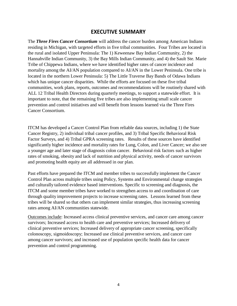## **EXECUTIVE SUMMARY**

<span id="page-3-0"></span>The *Three Fires Cancer Consortium* will address the cancer burden among American Indians residing in Michigan, with targeted efforts in five tribal communities. Four Tribes are located in the rural and isolated Upper Peninsula: The 1) Keweenaw Bay Indian Community, 2) the Hannahville Indian Community, 3) the Bay Mills Indian Community, and 4) the Sault Ste. Marie Tribe of Chippewa Indians, where we have identified higher rates of cancer incidence and mortality among the AI/AN population compared to AI/AN in the Lower Peninsula. One tribe is located in the northern Lower Peninsula: 5) The Little Traverse Bay Bands of Odawa Indians which has unique cancer disparities. While the efforts are focused on these five tribal communities, work plans, reports, outcomes and recommendations will be routinely shared with ALL 12 Tribal Health Directors during quarterly meetings, to support a statewide effort. It is important to note, that the remaining five tribes are also implementing small scale cancer prevention and control initiatives and will benefit from lessons learned via the Three Fires Cancer Consortium.

ITCM has developed a Cancer Control Plan from reliable data sources, including 1) the State Cancer Registry, 2) individual tribal cancer profiles, and 3) Tribal Specific Behavioral Risk Factor Surveys, and 4) Tribal GPRA screening rates. Results of these sources have identified significantly higher incidence and mortality rates for Lung, Colon, and Liver Cancer; we also see a younger age and later stage of diagnosis colon cancer. Behavioral risk factors such as higher rates of smoking, obesity and lack of nutrition and physical activity, needs of cancer survivors and promoting health equity are all addressed in our plan.

Past efforts have prepared the ITCM and member tribes to successfully implement the Cancer Control Plan across multiple tribes using Policy, Systems and Environmental change strategies and culturally tailored evidence based interventions. Specific to screening and diagnosis, the ITCM and some member tribes have worked to strengthen access to and coordination of care through quality improvement projects to increase screening rates. Lessons learned from these tribes will be shared so that others can implement similar strategies, thus increasing screening rates among AI/AN communities statewide.

Outcomes include: Increased access clinical preventive services, and cancer care among cancer survivors; Increased access to health care and preventive services; Increased delivery of clinical preventive services; Increased delivery of appropriate cancer screening, specifically colonoscopy, sigmoidoscopy; Increased use clinical preventive services, and cancer care among cancer survivors; and increased use of population specific health data for cancer prevention and control programming.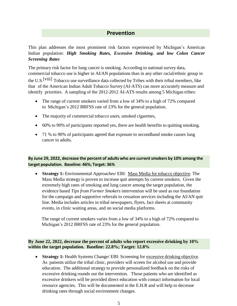## **Prevention**

<span id="page-4-0"></span>This plan addresses the most prominent risk factors experienced by Michigan's American Indian population: *High Smoking Rates, Excessive Drinking*, *and low Colon Cancer Screening Rates*

The primary risk factor for lung cancer is smoking. According to national survey data, commercial tobacco use is higher in AI/AN populations than in any other racial/ethnic group in

the U.S.[viii] Tobacco use surveillance data collected by Tribes with their tribal members, like that of the American Indian Adult Tobacco Survey (AI-ATS) can more accurately measure and identify priorities. A sampling of the 2012-2012 AI-ATS results among 5 Michigan tribes:

- The range of current smokers varied from a low of 34% to a high of 72% compared to Michigan's 2012 BRFSS rate of 23% for the general population.
- The majority of commercial tobacco users, smoked cigarettes,
- 60% to 90% of participants reported yes, there are health benefits to quitting smoking.
- 71 % to 90% of participants agreed that exposure to secondhand smoke causes lung cancer in adults.

**By June 29, 2022, decrease the percent of adults who are currentsmokers by 10% among the target population. Baseline: 46%; Target: 36%**

 **Strategy 1:** Environmental Approaches/ EBI: Mass Media for tobacco objective. The Mass Media strategy is proven to increase quit attempts by current smokers. Given the extremely high rates of smoking and lung cancer among the target population, the evidence based *Tips from Former Smokers* intervention will be used as our foundation for the campaign and supportive referrals to cessation services including the AI/AN quit line. Media includes articles in tribal newspapers, flyers, fact sheets at community events, in clinic waiting areas, and on social media platforms.

The range of current smokers varies from a low of 34% to a high of 72% compared to Michigan's 2012 BRFSS rate of 23% for the general population.

**By June 22, 2022, decrease the percent of adults who report excessive drinking by 10% within the target population. Baseline: 22.8%; Target: 12.8%**

• **Strategy 1:** Health Systems Change/ EBI: Screening for excessive drinking objective. As patients utilize the tribal clinic, providers will screen for alcohol use and provide education. The additional strategy to provide personalized feedback on the risks of excessive drinking rounds out the intervention. Those patients who are identified as excessive drinkers will be provided direct education with contact information for local resource agencies. This will be documented in the E.H.R and will help to decrease drinking rates through social environment changes.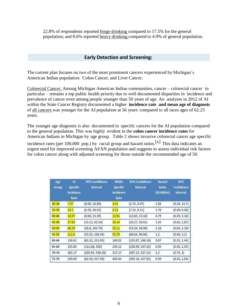<span id="page-5-0"></span>22.8% of respondents reported binge drinking compared to 17.5% for the general population; and 8.6% reported heavy drinking compared to 4.9% of general population.

#### **Early Detection and Screening:**

The current plan focuses on two of the most prominent cancers experienced by Michigan's American Indian population: Colon Cancer, and Liver Cancer.

Colorectal Cancer: Among Michigan American Indian communities, cancer – colorectal cancer in particular – remains a top public health priority due to well-documented disparities in incidence and prevalence of cancer even among people younger than 50 years of age. An analyses in 2012 of AI within the State Cancer Registry documented a higher **incidence rate and mean age of diagnosis**  of all cancers was younger for the AI population at 56 years compared to all races ages of 62.23 years.

The younger age diagnosis is also documented in specific cancers for the AI population compared to the general population. This was highly evident in the **colon cancer incidence rates** for American Indians in Michigan by age group. Table 2 shows invasive colorectal cancer age specific

incidence rates (per 100,000 pop.) by racial group and hazard ratios.<sup>[x]</sup> This data indicates an urgent need for improved screening AI/AN population and suggests to assess individual risk factors for colon cancer along with adjusted screening for those outside the recommended age of 50.

| Age<br>Group | AI<br>Specific<br>Incidence<br>Rate | 95% Confidence<br><b>Interval</b> | <b>White</b><br>Specific<br>Incidence<br>Rate | 95% Confidence<br><b>Interval</b> | Hazard<br>Ratio<br>(AI:White) | 95%<br><b>Confidence</b><br><b>Interval</b> |
|--------------|-------------------------------------|-----------------------------------|-----------------------------------------------|-----------------------------------|-------------------------------|---------------------------------------------|
| $30 - 34$    | 7.07                                | (0.00, 16.88)                     | 3.41                                          | (2.74, 4.07)                      | 2.08                          | (0.29, 14.7)                                |
| 35-39        | 14.3                                | (0.29, 28.32)                     | 8.13                                          | (7.15, 9.11)                      | 1.76                          | (0.49, 6.36)                                |
| $40 - 44$    | 10.97                               | (0.00, 23.39)                     | 13.91                                         | (12.65, 15.18)                    | 0.79                          | (0.29, 2.16)                                |
| 45-49        | 37.83                               | (13.12, 62.54)                    | 28.14                                         | (26.27, 30.01)                    | 1.34                          | (0.63, 2.87)                                |
| $50 - 54$    | 66.29                               | (28.8, 103.79)                    | 56.11                                         | (53.24, 58.98)                    | 1.18                          | (0.64, 2.19)                                |
| 55-59        | 111.8                               | (55.25, 168.34)                   | 92.79                                         | (88.64, 96.94)                    | 1.2                           | (0.69, 2.1)                                 |
| 60-64        | 138.62                              | (63.32, 213.93)                   | 160.02                                        | (153.87, 166.18)                  | 0.87                          | (0.52, 1.44)                                |
| 65-69        | 225.84                              | (111.68, 340)                     | 239.11                                        | (230.99, 247.22)                  | 0.94                          | (0.58, 1.55)                                |
| 70-74        | 382.17                              | (205.95, 558.38)                  | 317.17                                        | (307.22, 327.12)                  | 1.2                           | (0.73, 2)                                   |
| $75 - 79$    | 239.89                              | (62.39, 417.39)                   | 405.04                                        | (392.16, 417.91)                  | 0.59                          | (0.34, 1.04)                                |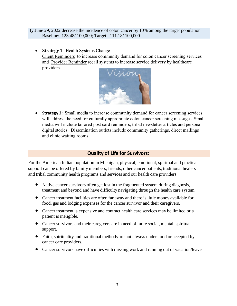<span id="page-6-0"></span>By June 29, 2022 decrease the incidence of colon cancer by 10% among the target population Baseline: 123.48/ 100,000; Target: 111.18/ 100,000

 **Strategy 1**: Health Systems Change Client Reminders to increase community demand for colon cancer screening services and Provider Reminder recall systems to increase service delivery by healthcare providers.



 **Strategy 2**: Small media to increase community demand for cancer screening services will address the need for culturally appropriate colon cancer screening messages. Small media will include tailored post card reminders, tribal newsletter articles and personal digital stories. Dissemination outlets include community gatherings, direct mailings and clinic waiting rooms.

## **Quality of Life for Survivors:**

For the American Indian population in Michigan, physical, emotional, spiritual and practical support can be offered by family members, friends, other cancer patients, traditional healers and tribal community health programs and services and our health care providers.

- Native cancer survivors often get lost in the fragmented system during diagnosis, treatment and beyond and have difficulty navigating through the health care system
- Cancer treatment facilities are often far away and there is little money available for food, gas and lodging expenses for the cancer survivor and their caregivers.
- Cancer treatment is expensive and contract health care services may be limited or a patient is ineligible.
- Cancer survivors and their caregivers are in need of more social, mental, spiritual support.
- Faith, spirituality and traditional methods are not always understood or accepted by cancer care providers.
- Cancer survivors have difficulties with missing work and running out of vacation/leave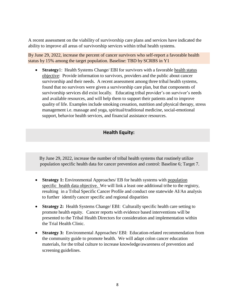<span id="page-7-0"></span>A recent assessment on the viability of survivorship care plans and services have indicated the ability to improve all areas of survivorship services within tribal health systems.

By June 29, 2022, increase the percent of cancer survivors who self-report a favorable health status by 15% among the target population. Baseline: TBD by SCRBS in Y1

 **Strategy**1: Health Systems Change/ EBI for survivors with a favorable health status objective: Provide information to survivors, providers and the public about cancer survivorship and their needs. A recent assessment among three tribal health systems, found that no survivors were given a survivorship care plan, but that components of survivorship services did exist locally. Educating tribal provider's on survivor's needs and available resources, and will help them to support their patients and to improve quality of life. Examples include smoking cessation, nutrition and physical therapy, stress management i.e. massage and yoga, spiritual/traditional medicine, social-emotional support, behavior health services, and financial assistance resources.

## **Health Equity:**

By June 29, 2022, increase the number of tribal health systems that routinely utilize population specific health data for cancer prevention and control: Baseline 6; Target 7.

- **Strategy 1:** Environmental Approaches/ EB for health systems with population specific health data objective. We will link a least one additional tribe to the registry, resulting in a Tribal Specific Cancer Profile and conduct one statewide AI/An analysis to further identify cancer specific and regional disparities
- **Strategy 2:** Health Systems Change/ EBI: Culturally specific health care setting to promote health equity. Cancer reports with evidence based interventions will be presented to the Tribal Health Directors for consideration and implementation within the Trial Health Clinic.
- **Strategy 3:** Environmental Approaches/ EBI: Education-related recommendation from the community guide to promote health. We will adapt colon cancer education materials, for the tribal culture to increase knowledge/awareness of prevention and screening guidelines.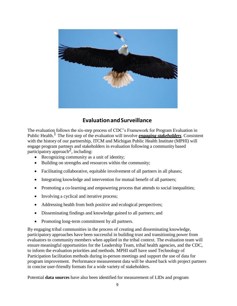<span id="page-8-0"></span>

# **Evaluation and Surveillance**

The evaluation follows the six-step process of CDC's Framework for Program Evaluation in Public Health.1 The first step of the evaluation will involve *engaging stakeholders*. Consistent with the history of our partnership, ITCM and Michigan Public Health Institute (MPHI) will engage program partners and stakeholders in evaluation following a community based  $\frac{1}{2}$  participatory approach<sup>2</sup>, including:

- Recognizing community as a unit of identity;
- Building on strengths and resources within the community;
- Facilitating collaborative, equitable involvement of all partners in all phases;
- Integrating knowledge and intervention for mutual benefit of all partners;
- Promoting a co-learning and empowering process that attends to social inequalities;
- Involving a cyclical and iterative process;
- Addressing health from both positive and ecological perspectives;
- Disseminating findings and knowledge gained to all partners; and
- Promoting long-term commitment by all partners.

By engaging tribal communities in the process of creating and disseminating knowledge, participatory approaches have been successful in building trust and transitioning power from evaluators to community members when applied in the tribal context. The evaluation team will ensure meaningful opportunities for the Leadership Team, tribal health agencies, and the CDC, to inform the evaluation priorities and methods. MPHI staff have used Technology of Participation facilitation methods during in-person meetings and support the use of data for program improvement. Performance measurement data will be shared back with project partners in concise user-friendly formats for a wide variety of stakeholders.

Potential **data sources** have also been identified for measurement of LIDs and program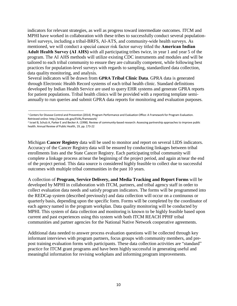indicators for relevant strategies, as well as progress toward intermediate outcomes. ITCM and MPHI have worked in collaboration with these tribes to successfully conduct several populationlevel surveys, including a tribal-BRFS, AI-ATS, and community-wide health surveys. As mentioned, we will conduct a special cancer risk factor survey titled the **American Indian Adult Health Survey (AI AHS)** with all participating tribes twice, in year 1 and year 5 of the program. The AI AHS methods will utilize existing CDC instruments and modules and will be tailored to each tribal community to ensure they are culturally competent, while following best practices for population-level surveys with regards to sampling, standardized data collection, data quality monitoring, and analysis.

Several indicators will be drawn from **GPRA Tribal Clinic Data**. GPRA data is generated through Electronic Health Record systems of each tribal health clinic. Standard definitions developed by Indian Health Service are used to query EHR systems and generate GPRA reports for patient populations. Tribal health clinics will be provided with a reporting template semiannually to run queries and submit GPRA data reports for monitoring and evaluation purposes.

Michigan **Cancer Registry** data will be used to monitor and report on several LIDS indicators. Accuracy of the Cancer Registry data will be ensured by conducting linkages between tribal enrollments lists and the State Cancer Registry. Each participating tribal community will complete a linkage process at/near the beginning of the project period, and again at/near the end of the project period. This data source is considered highly feasible to collect due to successful outcomes with multiple tribal communities in the past 10 years.

A collection of **Program, Service Delivery, and Media Tracking and Report Forms** will be developed by MPHI in collaboration with ITCM, partners, and tribal agency staff in order to collect evaluation data needs and satisfy program indicators. The forms will be programmed into the REDCap system (described previously) and data collection will occur on a continuous or quarterly basis, depending upon the specific form. Forms will be completed by the coordinator of each agency named in the program workplan. Data quality monitoring will be conducted by MPHI. This system of data collection and monitoring is known to be highly feasible based upon current and past experiences using this system with both ITCM REACH PPHF tribal communities and partner agencies for the National Native Network cooperative agreements.

Additional data needed to answer process evaluation questions will be collected through key informant interviews with program partners, focus groups with community members, and prepost training evaluation forms with participants. These data collection activities are "standard" practice for ITCM grant programs and have been highly successful in generating useful and meaningful information for revising workplans and informing program improvements.

<sup>&</sup>lt;sup>1</sup> Centers for Disease Control and Prevention (2014). Program Performance and Evaluation Office: A Framework for Program Evaluation. Retrieved onlin[e: http://www.cdc.gov/EVAL/framework/](http://www.cdc.gov/EVAL/framework/)

<sup>&</sup>lt;sup>2</sup> Israel B, Schulz A, Parker E and Becker A. (1998). Review of community-based research: Assessing partnership approaches to improve public health. Annual Review of Public Health, 19, pp. 173‐22